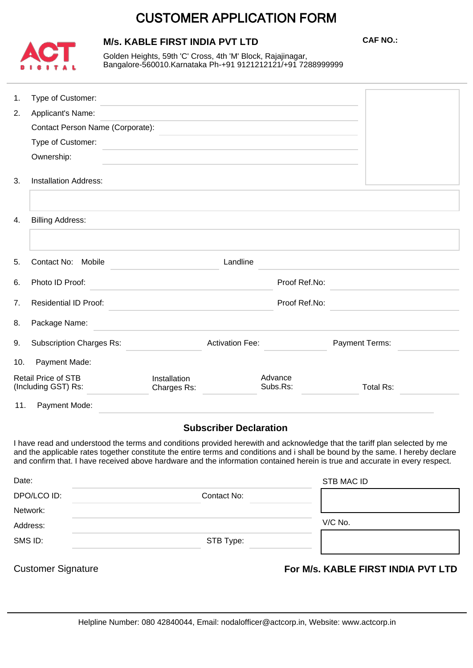# CUSTOMER APPLICATION FORM



# **M/s. KABLE FIRST INDIA PVT LTD**

**CAF NO.:**

Golden Heights, 59th 'C' Cross, 4th 'M' Block, Rajajinagar, Bangalore-560010.Karnataka Ph-+91 9121212121/+91 7288999999

| 1.                                                              | Type of Customer:                |                             |                        |                                                                                                                                                                                                                                                                                                                                                                                              |
|-----------------------------------------------------------------|----------------------------------|-----------------------------|------------------------|----------------------------------------------------------------------------------------------------------------------------------------------------------------------------------------------------------------------------------------------------------------------------------------------------------------------------------------------------------------------------------------------|
| 2.                                                              | Applicant's Name:                |                             |                        |                                                                                                                                                                                                                                                                                                                                                                                              |
|                                                                 | Contact Person Name (Corporate): |                             |                        |                                                                                                                                                                                                                                                                                                                                                                                              |
|                                                                 | Type of Customer:                |                             |                        |                                                                                                                                                                                                                                                                                                                                                                                              |
|                                                                 | Ownership:                       |                             |                        |                                                                                                                                                                                                                                                                                                                                                                                              |
| 3.                                                              | <b>Installation Address:</b>     |                             |                        |                                                                                                                                                                                                                                                                                                                                                                                              |
|                                                                 |                                  |                             |                        |                                                                                                                                                                                                                                                                                                                                                                                              |
| 4.                                                              | <b>Billing Address:</b>          |                             |                        |                                                                                                                                                                                                                                                                                                                                                                                              |
|                                                                 |                                  |                             |                        |                                                                                                                                                                                                                                                                                                                                                                                              |
| 5.                                                              | Landline<br>Contact No: Mobile   |                             |                        |                                                                                                                                                                                                                                                                                                                                                                                              |
| 6.                                                              | Photo ID Proof:                  | Proof Ref.No:               |                        |                                                                                                                                                                                                                                                                                                                                                                                              |
| 7.                                                              | <b>Residential ID Proof:</b>     | Proof Ref.No:               |                        |                                                                                                                                                                                                                                                                                                                                                                                              |
| 8.                                                              | Package Name:                    |                             |                        |                                                                                                                                                                                                                                                                                                                                                                                              |
| 9.                                                              | <b>Subscription Charges Rs:</b>  |                             | <b>Activation Fee:</b> | Payment Terms:                                                                                                                                                                                                                                                                                                                                                                               |
| 10.                                                             | Payment Made:                    |                             |                        |                                                                                                                                                                                                                                                                                                                                                                                              |
| <b>Retail Price of STB</b><br>(Including GST) Rs:               |                                  | Installation<br>Charges Rs: | Advance<br>Subs.Rs:    | <b>Total Rs:</b>                                                                                                                                                                                                                                                                                                                                                                             |
| 11.                                                             | Payment Mode:                    |                             |                        |                                                                                                                                                                                                                                                                                                                                                                                              |
| <b>Subscriber Declaration</b>                                   |                                  |                             |                        |                                                                                                                                                                                                                                                                                                                                                                                              |
|                                                                 |                                  |                             |                        | I have read and understood the terms and conditions provided herewith and acknowledge that the tariff plan selected by me<br>and the applicable rates together constitute the entire terms and conditions and i shall be bound by the same. I hereby declare<br>and confirm that. I have received above hardware and the information contained herein is true and accurate in every respect. |
| Date:                                                           |                                  |                             |                        | <b>STB MAC ID</b>                                                                                                                                                                                                                                                                                                                                                                            |
| DPO/LCO ID:                                                     |                                  | Contact No:                 |                        |                                                                                                                                                                                                                                                                                                                                                                                              |
| Network:                                                        |                                  |                             |                        |                                                                                                                                                                                                                                                                                                                                                                                              |
| Address:                                                        |                                  |                             |                        | V/C No.                                                                                                                                                                                                                                                                                                                                                                                      |
| SMS ID:                                                         |                                  | STB Type:                   |                        |                                                                                                                                                                                                                                                                                                                                                                                              |
| <b>Customer Signature</b><br>For M/s. KABLE FIRST INDIA PVT LTD |                                  |                             |                        |                                                                                                                                                                                                                                                                                                                                                                                              |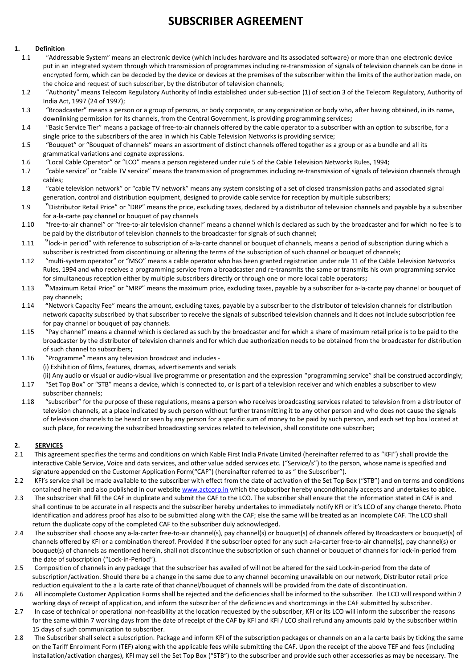# **SUBSCRIBER AGREEMENT**

#### **1. Definition**

- 1.1 "Addressable System" means an electronic device (which includes hardware and its associated software) or more than one electronic device put in an integrated system through which transmission of programmes including re-transmission of signals of television channels can be done in encrypted form, which can be decoded by the device or devices at the premises of the subscriber within the limits of the authorization made, on the choice and request of such subscriber, by the distributor of television channels;
- 1.2 "Authority" means Telecom Regulatory Authority of India established under sub-section (1) of section 3 of the Telecom Regulatory, Authority of India Act, 1997 (24 of 1997);
- 1.3 "Broadcaster" means a person or a group of persons, or body corporate, or any organization or body who, after having obtained, in its name, downlinking permission for its channels, from the Central Government, is providing programming services**;**
- 1.4 "Basic Service Tier" means a package of free-to-air channels offered by the cable operator to a subscriber with an option to subscribe, for a single price to the subscribers of the area in which his Cable Television Networks is providing service;
- 1.5 "Bouquet" or "Bouquet of channels" means an assortment of distinct channels offered together as a group or as a bundle and all its grammatical variations and cognate expressions.
- 1.6 "Local Cable Operator" or "LCO" means a person registered under rule 5 of the Cable Television Networks Rules, 1994;
- 1.7 "cable service" or "cable TV service" means the transmission of programmes including re-transmission of signals of television channels through cables;
- 1.8 "cable television network" or "cable TV network" means any system consisting of a set of closed transmission paths and associated signal generation, control and distribution equipment, designed to provide cable service for reception by multiple subscribers;
- 1.9 "Distributor Retail Price" or "DRP" means the price, excluding taxes, declared by a distributor of television channels and payable by a subscriber for a-la-carte pay channel or bouquet of pay channels
- 1.10 "free-to-air channel" or "free-to-air television channel" means a channel which is declared as such by the broadcaster and for which no fee is to be paid by the distributor of television channels to the broadcaster for signals of such channel;
- 1.11 "lock-in period" with reference to subscription of a-la-carte channel or bouquet of channels, means a period of subscription during which a subscriber is restricted from discontinuing or altering the terms of the subscription of such channel or bouquet of channels;
- 1.12 "multi-system operator" or "MSO" means a cable operator who has been granted registration under rule 11 of the Cable Television Networks Rules, 1994 and who receives a programming service from a broadcaster and re-transmits the same or transmits his own programming service for simultaneous reception either by multiple subscribers directly or through one or more local cable operators**;**
- 1.13 Whaximum Retail Price<sup>"</sup> or "MRP<sup>"</sup> means the maximum price, excluding taxes, payable by a subscriber for a-la-carte pay channel or bouquet of pay channels;
- 1.14 "Network Capacity Fee" means the amount, excluding taxes, payable by a subscriber to the distributor of television channels for distribution network capacity subscribed by that subscriber to receive the signals of subscribed television channels and it does not include subscription fee for pay channel or bouquet of pay channels.
- 1.15 "Pay channel" means a channel which is declared as such by the broadcaster and for which a share of maximum retail price is to be paid to the broadcaster by the distributor of television channels and for which due authorization needs to be obtained from the broadcaster for distribution of such channel to subscribers**;**
- 1.16 "Programme" means any television broadcast and includes -(i) Exhibition of films, features, dramas, advertisements and serials (ii) Any audio or visual or audio-visual live programme or presentation and the expression "programming service" shall be construed accordingly;
- 1.17 "Set Top Box" or "STB" means a device, which is connected to, or is part of a television receiver and which enables a subscriber to view subscriber channels;
- 1.18 "subscriber" for the purpose of these regulations, means a person who receives broadcasting services related to television from a distributor of television channels, at a place indicated by such person without further transmitting it to any other person and who does not cause the signals of television channels to be heard or seen by any person for a specific sum of money to be paid by such person, and each set top box located at such place, for receiving the subscribed broadcasting services related to television, shall constitute one subscriber;

#### **2. SERVICES**

- 2.1 This agreement specifies the terms and conditions on which Kable First India Private Limited (hereinafter referred to as "KFI") shall provide the interactive Cable Service, Voice and data services, and other value added services etc. ("Service/s") to the person, whose name is specified and signature appended on the Customer Application Form("CAF") (hereinafter referred to as "the Subscriber").
- 2.2 KFI's service shall be made available to the subscriber with effect from the date of activation of the Set Top Box ("STB") and on terms and conditions contained herein and also published in our website [www.actcorp.in](http://www.actcorp.in/) which the subscriber hereby unconditionally accepts and undertakes to abide.
- 2.3 The subscriber shall fill the CAF in duplicate and submit the CAF to the LCO. The subscriber shall ensure that the information stated in CAF is and shall continue to be accurate in all respects and the subscriber hereby undertakes to immediately notify KFI or it's LCO of any change thereto. Photo identification and address proof has also to be submitted along with the CAF; else the same will be treated as an incomplete CAF. The LCO shall return the duplicate copy of the completed CAF to the subscriber duly acknowledged.
- 2.4 The subscriber shall choose any a-la-carter free-to-air channel(s), pay channel(s) or bouquet(s) of channels offered by Broadcasters or bouquet(s) of channels offered by KFI or a combination thereof. Provided if the subscriber opted for any such a-la-carter free-to-air channel(s), pay channel(s) or bouquet(s) of channels as mentioned herein, shall not discontinue the subscription of such channel or bouquet of channels for lock-in-period from the date of subscription ("Lock-in-Period").
- 2.5 Composition of channels in any package that the subscriber has availed of will not be altered for the said Lock-in-period from the date of subscription/activation. Should there be a change in the same due to any channel becoming unavailable on our network, Distributor retail price reduction equivalent to the a la carte rate of that channel/bouquet of channels will be provided from the date of discontinuation.
- 2.6 All incomplete Customer Application Forms shall be rejected and the deficiencies shall be informed to the subscriber. The LCO will respond within 2 working days of receipt of application, and inform the subscriber of the deficiencies and shortcomings in the CAF submitted by subscriber.
- 2.7 In case of technical or operational non-feasibility at the location requested by the subscriber, KFI or its LCO will inform the subscriber the reasons for the same within 7 working days from the date of receipt of the CAF by KFI and KFI / LCO shall refund any amounts paid by the subscriber within 15 days of such communication to subscriber.
- 2.8 The Subscriber shall select a subscription. Package and inform KFI of the subscription packages or channels on an a la carte basis by ticking the same on the Tariff Enrolment Form (TEF) along with the applicable fees while submitting the CAF. Upon the receipt of the above TEF and fees (including installation/activation charges), KFI may sell the Set Top Box ("STB") to the subscriber and provide such other accessories as may be necessary. The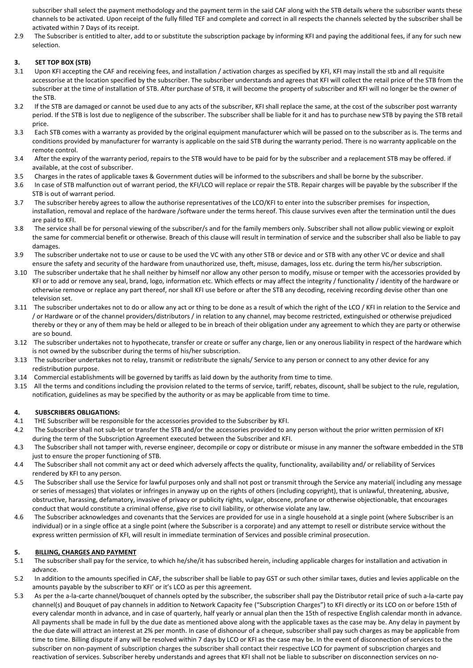subscriber shall select the payment methodology and the payment term in the said CAF along with the STB details where the subscriber wants these channels to be activated. Upon receipt of the fully filled TEF and complete and correct in all respects the channels selected by the subscriber shall be activated within 7 Days of its receipt.

2.9 The Subscriber is entitled to alter, add to or substitute the subscription package by informing KFI and paying the additional fees, if any for such new selection.

# **3. SET TOP BOX (STB)**

- 3.1 Upon KFI accepting the CAF and receiving fees, and installation / activation charges as specified by KFI, KFI may install the stb and all requisite accessorise at the location specified by the subscriber. The subscriber understands and agrees that KFI will collect the retail price of the STB from the subscriber at the time of installation of STB. After purchase of STB, it will become the property of subscriber and KFI will no longer be the owner of the STB.
- 3.2 If the STB are damaged or cannot be used due to any acts of the subscriber, KFI shall replace the same, at the cost of the subscriber post warranty period. If the STB is lost due to negligence of the subscriber. The subscriber shall be liable for it and has to purchase new STB by paying the STB retail price.
- 3.3 Each STB comes with a warranty as provided by the original equipment manufacturer which will be passed on to the subscriber as is. The terms and conditions provided by manufacturer for warranty is applicable on the said STB during the warranty period. There is no warranty applicable on the remote control.
- 3.4 After the expiry of the warranty period, repairs to the STB would have to be paid for by the subscriber and a replacement STB may be offered. if available, at the cost of subscriber.
- 3.5 Charges in the rates of applicable taxes & Government duties will be informed to the subscribers and shall be borne by the subscriber.
- 3.6 In case of STB malfunction out of warrant period, the KFI/LCO will replace or repair the STB. Repair charges will be payable by the subscriber If the STB is out of warrant period.
- 3.7 The subscriber hereby agrees to allow the authorise representatives of the LCO/KFI to enter into the subscriber premises for inspection, installation, removal and replace of the hardware /software under the terms hereof. This clause survives even after the termination until the dues are paid to KFI.
- 3.8 The service shall be for personal viewing of the subscriber/s and for the family members only. Subscriber shall not allow public viewing or exploit the same for commercial benefit or otherwise. Breach of this clause will result in termination of service and the subscriber shall also be liable to pay damages.
- 3.9 The subscriber undertake not to use or cause to be used the VC with any other STB or device and or STB with any other VC or device and shall ensure the safety and security of the hardware from unauthorized use, theft, misuse, damages, loss etc. during the term his/her subscription.
- 3.10 The subscriber undertake that he shall neither by himself nor allow any other person to modify, misuse or temper with the accessories provided by KFI or to add or remove any seal, brand, logo, information etc. Which effects or may affect the integrity / functionality / identity of the hardware or otherwise remove or replace any part thereof, nor shall KFI use before or after the STB any decoding, receiving recording devise other than one television set.
- 3.11 The subscriber undertakes not to do or allow any act or thing to be done as a result of which the right of the LCO / KFI in relation to the Service and / or Hardware or of the channel providers/distributors / in relation to any channel, may become restricted, extinguished or otherwise prejudiced thereby or they or any of them may be held or alleged to be in breach of their obligation under any agreement to which they are party or otherwise are so bound.
- 3.12 The subscriber undertakes not to hypothecate, transfer or create or suffer any charge, lien or any onerous liability in respect of the hardware which is not owned by the subscriber during the terms of his/her subscription.
- 3.13 The subscriber undertakes not to relay, transmit or redistribute the signals/ Service to any person or connect to any other device for any redistribution purpose.
- 3.14 Commercial establishments will be governed by tariffs as laid down by the authority from time to time.
- 3.15 All the terms and conditions including the provision related to the terms of service, tariff, rebates, discount, shall be subject to the rule, regulation, notification, guidelines as may be specified by the authority or as may be applicable from time to time.

# **4. SUBSCRIBERS OBLIGATIONS:**

- 4.1 THE Subscriber will be responsible for the accessories provided to the Subscriber by KFI.
- 4.2 The Subscriber shall not sub-let or transfer the STB and/or the accessories provided to any person without the prior written permission of KFI during the term of the Subscription Agreement executed between the Subscriber and KFI.
- 4.3 The Subscriber shall not tamper with, reverse engineer, decompile or copy or distribute or misuse in any manner the software embedded in the STB just to ensure the proper functioning of STB.
- 4.4 The Subscriber shall not commit any act or deed which adversely affects the quality, functionality, availability and/ or reliability of Services rendered by KFI to any person.
- 4.5 The Subscriber shall use the Service for lawful purposes only and shall not post or transmit through the Service any material( including any message or series of messages) that violates or infringes in anyway up on the rights of others (including copyright), that is unlawful, threatening, abusive, obstructive, harassing, defamatory, invasive of privacy or publicity rights, vulgar, obscene, profane or otherwise objectionable, that encourages conduct that would constitute a criminal offense, give rise to civil liability, or otherwise violate any law.
- 4.6 The Subscriber acknowledges and covenants that the Services are provided for use in a single household at a single point (where Subscriber is an individual) or in a single office at a single point (where the Subscriber is a corporate) and any attempt to resell or distribute service without the express written permission of KFI, will result in immediate termination of Services and possible criminal prosecution.

# **5. BILLING, CHARGES AND PAYMENT**

- 5.1 The subscriber shall pay for the service, to which he/she/it has subscribed herein, including applicable charges for installation and activation in advance.
- 5.2 In addition to the amounts specified in CAF, the subscriber shall be liable to pay GST or such other similar taxes, duties and levies applicable on the amounts payable by the subscriber to KFI' or it's LCO as per this agreement.
- 5.3 As per the a-la-carte channel/bouquet of channels opted by the subscriber, the subscriber shall pay the Distributor retail price of such a-la-carte pay channel(s) and Bouquet of pay channels in addition to Network Capacity fee ("Subscription Charges") to KFI directly or its LCO on or before 15th of every calendar month in advance, and in case of quarterly, half yearly or annual plan then the 15th of respective English calendar month in advance. All payments shall be made in full by the due date as mentioned above along with the applicable taxes as the case may be. Any delay in payment by the due date will attract an interest at 2% per month. In case of dishonour of a cheque, subscriber shall pay such charges as may be applicable from time to time. Billing dispute if any will be resolved within 7 days by LCO or KFI as the case may be. In the event of disconnection of services to the subscriber on non-payment of subscription charges the subscriber shall contact their respective LCO for payment of subscription charges and reactivation of services. Subscriber hereby understands and agrees that KFI shall not be liable to subscriber on disconnection services on no-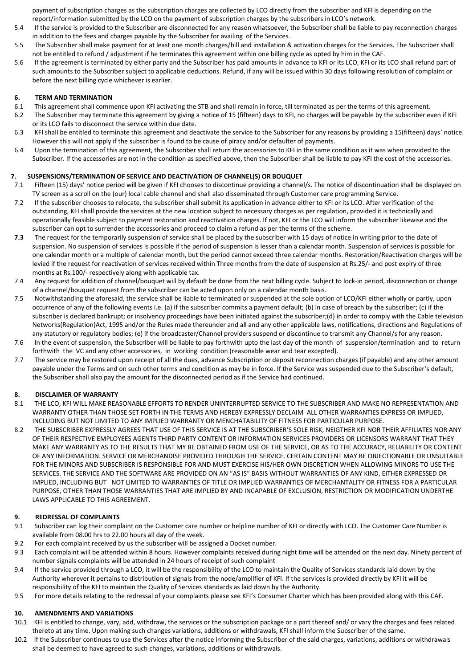payment of subscription charges as the subscription charges are collected by LCO directly from the subscriber and KFI is depending on the report/information submitted by the LCO on the payment of subscription charges by the subscribers in LCO's network.

- 5.4 If the service is provided to the Subscriber are disconnected for any reason whatsoever, the Subscriber shall be liable to pay reconnection charges in addition to the fees and charges payable by the Subscriber for availing of the Services.
- 5.5 The Subscriber shall make payment for at least one month charges/bill and installation & activation charges for the Services. The Subscriber shall not be entitled to refund / adjustment if he terminates this agreement within one billing cycle as opted by him in the CAF.
- 5.6 If the agreement is terminated by either party and the Subscriber has paid amounts in advance to KFI or its LCO, KFI or its LCO shall refund part of such amounts to the Subscriber subject to applicable deductions. Refund, if any will be issued within 30 days following resolution of complaint or before the next billing cycle whichever is earlier.

#### **6. TERM AND TERMINATION**

- 6.1 This agreement shall commence upon KFI activating the STB and shall remain in force, till terminated as per the terms of this agreement.
- 6.2 The Subscriber may terminate this agreement by giving a notice of 15 (fifteen) days to KFI, no charges will be payable by the subscriber even if KFI or its LCO fails to disconnect the service within due date.
- 6.3 KFI shall be entitled to terminate this agreement and deactivate the service to the Subscriber for any reasons by providing a 15(fifteen) days' notice. However this will not apply if the subscriber is found to be cause of piracy and/or defaulter of payments.
- 6.4 Upon the termination of this agreement, the Subscriber shall return the accessories to KFI in the same condition as it was when provided to the Subscriber. If the accessories are not in the condition as specified above, then the Subscriber shall be liable to pay KFI the cost of the accessories.

#### **7. SUSPENSIONS/TERMINATION OF SERVICE AND DEACTIVATION OF CHANNEL(S) OR BOUQUET**

- 7.1 Fifteen (15) days͛notice period will be given if KFI chooses to discontinue providing a channel/s. The notice of discontinuation shall be displayed on TV screen as a scroll on the (our) local cable channel and shall also disseminated through Customer care programming Service.
- 7.2 If the subscriber chooses to relocate, the subscriber shall submit its application in advance either to KFI or its LCO. After verification of the outstanding, KFI shall provide the services at the new location subject to necessary charges as per regulation, provided it is technically and operationally feasible subject to payment restoration and reactivation charges. If not, KFI or the LCO will inform the subscriber likewise and the subscriber can opt to surrender the accessories and proceed to claim a refund as per the terms of the scheme.
- **7.3** The request for the temporarily suspension of service shall be placed by the subscriber with 15 days of notice in writing prior to the date of suspension. No suspension of services is possible if the period of suspension is lesser than a calendar month. Suspension of services is possible for one calendar month or a multiple of calendar month, but the period cannot exceed three calendar months. Restoration/Reactivation charges will be levied if the request for reactivation of services received within Three months from the date of suspension at Rs.25/- and post expiry of three months at Rs.100/- respectively along with applicable tax.
- 7.4 Any request for addition of channel/bouquet will by default be done from the next billing cycle. Subject to lock-in period, disconnection or change of a channel/bouquet request from the subscriber can be acted upon only on a calendar month basis.
- 7.5 Notwithstanding the aforesaid, the service shall be liable to terminated or suspended at the sole option of LCO/KFI either wholly or partly, upon occurrence of any of the following events i.e. (a) if the subscriber commits a payment default; (b) in case of breach by the subscriber; (c) if the subscriber is declared bankrupt; or insolvency proceedings have been initiated against the subscriber;(d) in order to comply with the Cable television Networks(Regulation)Act, 1995 and/or the Rules made thereunder and all and any other applicable laws, notifications, directions and Regulations of any statutory or regulatory bodies; (e) if the broadcaster/Channel providers suspend or discontinue to transmit any Channel/s for any reason.
- 7.6 In the event of suspension, the Subscriber will be liable to pay forthwith upto the last day of the month of suspension/termination and to return forthwith the VC and any other accessories, in working condition (reasonable wear and tear excepted).
- 7.7 The service may be restored upon receipt of all the dues, advance Subscription or deposit reconnection charges (if payable) and any other amount payable under the Terms and on such other terms and condition as may be in force. If the Service was suspended due to the Subscriber's default, the Subscriber shall also pay the amount for the disconnected period as if the Service had continued.

# **8. DISCLAIMER OF WARRANTY**

- 8.1 THE LCO, KFI WILL MAKE REASONABLE EFFORTS TO RENDER UNINTERRUPTED SERVICE TO THE SUBSCRIBER AND MAKE NO REPRESENTATION AND WARRANTY OTHER THAN THOSE SET FORTH IN THE TERMS AND HEREBY EXPRESSLY DECLAIM ALL OTHER WARRANTIES EXPRESS OR IMPLIED, INCLUDING BUT NOT LIMITED TO ANY IMPLIED WARRANTY OR MENCHATABILITY OF FITNESS FOR PARTICULAR PURPOSE.
- 8.2 THE SUBSCRIBER EXPRESSLY AGREES THAT USE OF THIS SERVICE IS AT THE SUBSCRIBER'S SOLE RISK, NEIGTHER KFI NOR THEIR AFFILIATES NOR ANY OF THEIR RESPECTIVE EMPLOYEES AGENTS THIRD PARTY CONTENT OR INFORMATION SERVICES PROVIDERS OR LICENSORS WARRANT THAT THEY MAKE ANY WARRANTY AS TO THE RESULTS THAT MY BE OBTAINED FROM USE OF THE SERVICE, OR AS TO THE ACCURACY, RELIABILITY OR CONTENT OF ANY INFORMATION. SERVICE OR MERCHANDISE PROVIDED THROUGH THE SERVICE. CERTAIN CONTENT MAY BE OBJECTIONABLE OR UNSUITABLE FOR THE MINORS AND SUBSCRIBER IS RESPONSIBLE FOR AND MUST EXERCISE HIS/HER OWN DISCRETION WHEN ALLOWING MINORS TO USE THE SERVICES. THE SERVICE AND THE SOFTWARE ARE PROVIDED ON AN "AS IS" BASIS WITHOUT WARRANTIES OF ANY KIND, EITHER EXPRESSED OR IMPLIED, INCLUDING BUT NOT LIMITED TO WARRANTIES OF TITLE OR IMPLIED WARRANTIES OF MERCHANTALITY OR FITNESS FOR A PARTICULAR PURPOSE, OTHER THAN THOSE WARRANTIES THAT ARE IMPLIED BY AND INCAPABLE OF EXCLUSION, RESTRICTION OR MODIFICATION UNDERTHE LAWS APPLICABLE TO THIS AGREEMENT.

#### **9. REDRESSAL OF COMPLAINTS**

- 9.1 Subscriber can log their complaint on the Customer care number or helpline number of KFI or directly with LCO. The Customer Care Number is available from 08.00 hrs to 22.00 hours all day of the week.
- 9.2 For each complaint received by us the subscriber will be assigned a Docket number.
- 9.3 Each complaint will be attended within 8 hours. However complaints received during night time will be attended on the next day. Ninety percent of number signals complaints will be attended in 24 hours of receipt of such complaint
- 9.4 If the service provided through a LCO, it will be the responsibility of the LCO to maintain the Quality of Services standards laid down by the Authority wherever it pertains to distribution of signals from the node/amplifier of KFI. If the services is provided directly by KFI it will be responsibility of the KFI to maintain the Quality of Services standards as laid down by the Authority.
- 9.5 For more details relating to the redressal of your complaints please see KFI's Consumer Charter which has been provided along with this CAF.

#### **10. AMENDMENTS AND VARIATIONS**

- 10.1 KFI is entitled to change, vary, add, withdraw, the services or the subscription package or a part thereof and/ or vary the charges and fees related thereto at any time. Upon making such changes variations, additions or withdrawals, KFI shall inform the Subscriber of the same.
- 10.2 If the Subscriber continues to use the Services after the notice informing the Subscriber of the said charges, variations, additions or withdrawals shall be deemed to have agreed to such changes, variations, additions or withdrawals.